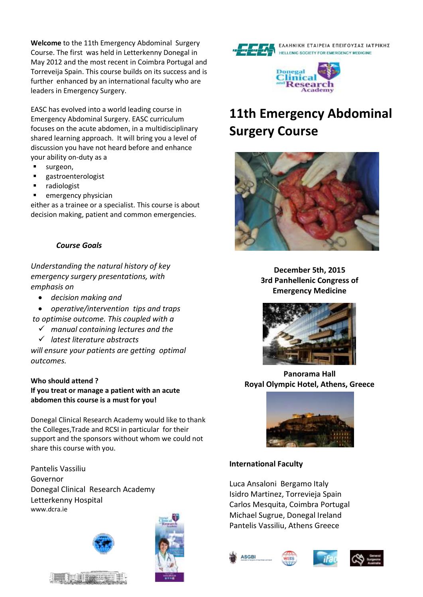**Welcome** to the 11th Emergency Abdominal Surgery Course. The first was held in Letterkenny Donegal in May 2012 and the most recent in Coimbra Portugal and Torreveija Spain. This course builds on its success and is further enhanced by an international faculty who are leaders in Emergency Surgery.

EASC has evolved into a world leading course in Emergency Abdominal Surgery. EASC curriculum focuses on the acute abdomen, in a multidisciplinary shared learning approach. It will bring you a level of discussion you have not heard before and enhance your ability on-duty as a

- surgeon,
- **gastroenterologist**
- radiologist
- emergency physician

either as a trainee or a specialist. This course is about decision making, patient and common emergencies.

## *Course Goals*

*Understanding the natural history of key emergency surgery presentations, with emphasis on* 

- *decision making and*
- *operative/intervention tips and traps to optimise outcome. This coupled with a*
	- *manual containing lectures and the*
	- *latest literature abstracts*

*will ensure your patients are getting optimal outcomes.*

#### **Who should attend ?**

**If you treat or manage a patient with an acute abdomen this course is a must for you!**

Donegal Clinical Research Academy would like to thank the Colleges,Trade and RCSI in particular for their support and the sponsors without whom we could not share this course with you.

Pantelis Vassiliu Governor Donegal Clinical Research Academy Letterkenny Hospital www.dcra.ie











# **11th Emergency Abdominal Surgery Course**



**December 5th, 2015 3rd Panhellenic Congress of Emergency Medicine**



**Panorama Hall Royal Olympic Hotel, Athens, Greece**



#### **International Faculty**

Luca Ansaloni Bergamo Italy Isidro Martinez, Torrevieja Spain Carlos Mesquita, Coimbra Portugal Michael Sugrue, Donegal Ireland Pantelis Vassiliu, Athens Greece